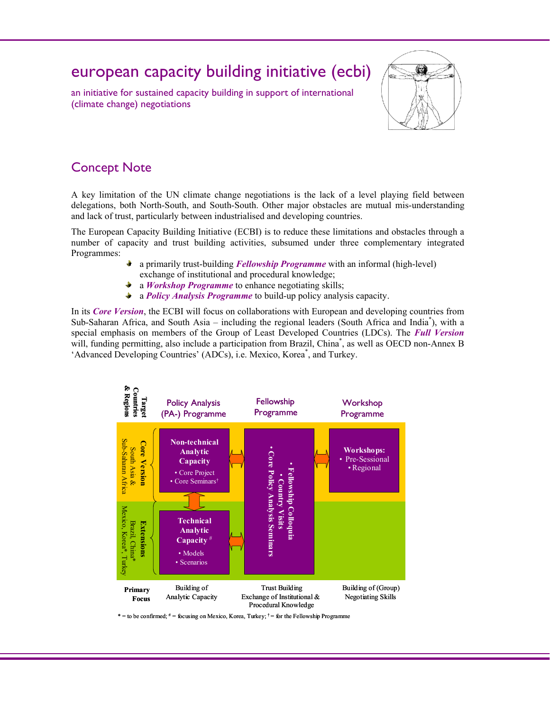# european capacity building initiative (ecbi)

an initiative for sustained capacity building in support of international (climate change) negotiations



# Concept Note

A key limitation of the UN climate change negotiations is the lack of a level playing field between delegations, both North-South, and South-South. Other major obstacles are mutual mis-understanding and lack of trust, particularly between industrialised and developing countries.

The European Capacity Building Initiative (ECBI) is to reduce these limitations and obstacles through a number of capacity and trust building activities, subsumed under three complementary integrated Programmes:

- a primarily trust-building *Fellowship Programme* with an informal (high-level) exchange of institutional and procedural knowledge;
- a *Workshop Programme* to enhance negotiating skills;
- ÷. a *Policy Analysis Programme* to build-up policy analysis capacity.

In its *Core Version*, the ECBI will focus on collaborations with European and developing countries from Sub-Saharan Africa, and South Asia – including the regional leaders (South Africa and India<sup>\*</sup>), with a special emphasis on members of the Group of Least Developed Countries (LDCs). The *Full Version* will, funding permitting, also include a participation from Brazil, China<sup>\*</sup>, as well as OECD non-Annex B 'Advanced Developing Countries' (ADCs), i.e. Mexico, Korea<sup>\*</sup>, and Turkey.



\* = to be confirmed;  $* =$  focusing on Mexico, Korea, Turkey;  $\dagger =$  for the Fellowship Programme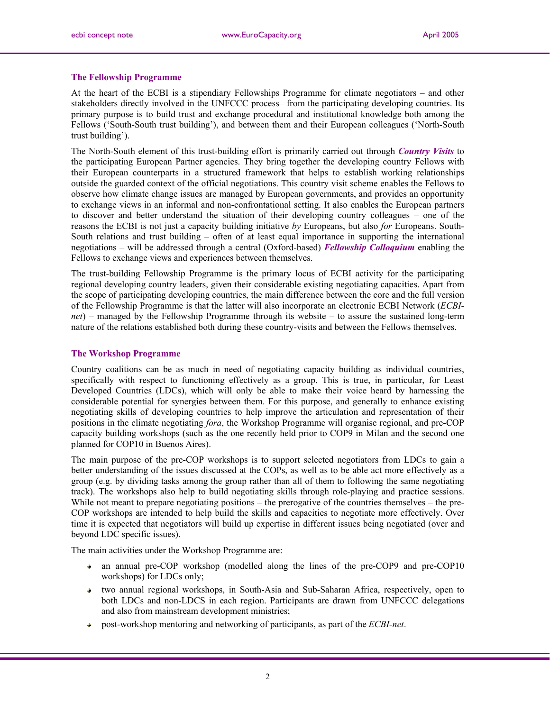#### **The Fellowship Programme**

At the heart of the ECBI is a stipendiary Fellowships Programme for climate negotiators – and other stakeholders directly involved in the UNFCCC process– from the participating developing countries. Its primary purpose is to build trust and exchange procedural and institutional knowledge both among the Fellows ('South-South trust building'), and between them and their European colleagues ('North-South trust building').

The North-South element of this trust-building effort is primarily carried out through *Country Visits* to the participating European Partner agencies. They bring together the developing country Fellows with their European counterparts in a structured framework that helps to establish working relationships outside the guarded context of the official negotiations. This country visit scheme enables the Fellows to observe how climate change issues are managed by European governments, and provides an opportunity to exchange views in an informal and non-confrontational setting. It also enables the European partners to discover and better understand the situation of their developing country colleagues – one of the reasons the ECBI is not just a capacity building initiative *by* Europeans, but also *for* Europeans. South-South relations and trust building – often of at least equal importance in supporting the international negotiations – will be addressed through a central (Oxford-based) *Fellowship Colloquium* enabling the Fellows to exchange views and experiences between themselves.

The trust-building Fellowship Programme is the primary locus of ECBI activity for the participating regional developing country leaders, given their considerable existing negotiating capacities. Apart from the scope of participating developing countries, the main difference between the core and the full version of the Fellowship Programme is that the latter will also incorporate an electronic ECBI Network (*ECBInet*) – managed by the Fellowship Programme through its website – to assure the sustained long-term nature of the relations established both during these country-visits and between the Fellows themselves.

#### **The Workshop Programme**

Country coalitions can be as much in need of negotiating capacity building as individual countries, specifically with respect to functioning effectively as a group. This is true, in particular, for Least Developed Countries (LDCs), which will only be able to make their voice heard by harnessing the considerable potential for synergies between them. For this purpose, and generally to enhance existing negotiating skills of developing countries to help improve the articulation and representation of their positions in the climate negotiating *fora*, the Workshop Programme will organise regional, and pre-COP capacity building workshops (such as the one recently held prior to COP9 in Milan and the second one planned for COP10 in Buenos Aires).

The main purpose of the pre-COP workshops is to support selected negotiators from LDCs to gain a better understanding of the issues discussed at the COPs, as well as to be able act more effectively as a group (e.g. by dividing tasks among the group rather than all of them to following the same negotiating track). The workshops also help to build negotiating skills through role-playing and practice sessions. While not meant to prepare negotiating positions – the prerogative of the countries themselves – the pre-COP workshops are intended to help build the skills and capacities to negotiate more effectively. Over time it is expected that negotiators will build up expertise in different issues being negotiated (over and beyond LDC specific issues).

The main activities under the Workshop Programme are:

- an annual pre-COP workshop (modelled along the lines of the pre-COP9 and pre-COP10 workshops) for LDCs only;
- two annual regional workshops, in South-Asia and Sub-Saharan Africa, respectively, open to  $\Delta \sim$ both LDCs and non-LDCS in each region. Participants are drawn from UNFCCC delegations and also from mainstream development ministries;
- post-workshop mentoring and networking of participants, as part of the *ECBI-net*.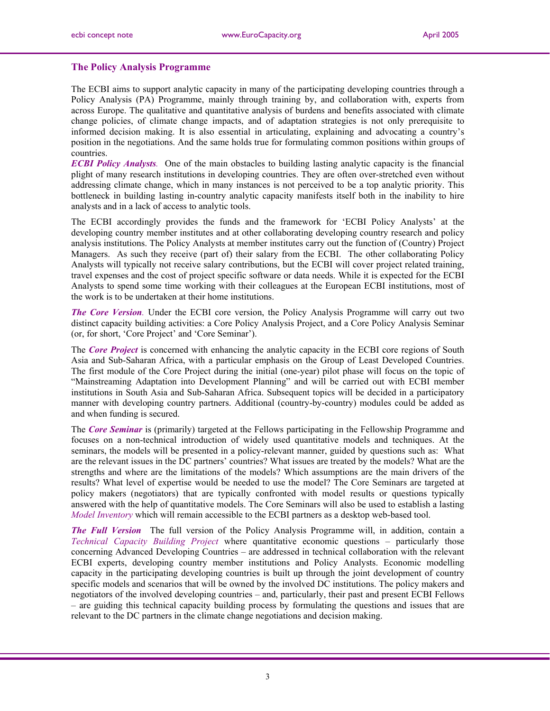## **The Policy Analysis Programme**

The ECBI aims to support analytic capacity in many of the participating developing countries through a Policy Analysis (PA) Programme, mainly through training by, and collaboration with, experts from across Europe. The qualitative and quantitative analysis of burdens and benefits associated with climate change policies, of climate change impacts, and of adaptation strategies is not only prerequisite to informed decision making. It is also essential in articulating, explaining and advocating a country's position in the negotiations. And the same holds true for formulating common positions within groups of countries.

*ECBI Policy Analysts.* One of the main obstacles to building lasting analytic capacity is the financial plight of many research institutions in developing countries. They are often over-stretched even without addressing climate change, which in many instances is not perceived to be a top analytic priority. This bottleneck in building lasting in-country analytic capacity manifests itself both in the inability to hire analysts and in a lack of access to analytic tools.

The ECBI accordingly provides the funds and the framework for 'ECBI Policy Analysts' at the developing country member institutes and at other collaborating developing country research and policy analysis institutions. The Policy Analysts at member institutes carry out the function of (Country) Project Managers. As such they receive (part of) their salary from the ECBI. The other collaborating Policy Analysts will typically not receive salary contributions, but the ECBI will cover project related training, travel expenses and the cost of project specific software or data needs. While it is expected for the ECBI Analysts to spend some time working with their colleagues at the European ECBI institutions, most of the work is to be undertaken at their home institutions.

*The Core Version.* Under the ECBI core version, the Policy Analysis Programme will carry out two distinct capacity building activities: a Core Policy Analysis Project, and a Core Policy Analysis Seminar (or, for short, 'Core Project' and 'Core Seminar').

The *Core Project* is concerned with enhancing the analytic capacity in the ECBI core regions of South Asia and Sub-Saharan Africa, with a particular emphasis on the Group of Least Developed Countries. The first module of the Core Project during the initial (one-year) pilot phase will focus on the topic of "Mainstreaming Adaptation into Development Planning" and will be carried out with ECBI member institutions in South Asia and Sub-Saharan Africa. Subsequent topics will be decided in a participatory manner with developing country partners. Additional (country-by-country) modules could be added as and when funding is secured.

The *Core Seminar* is (primarily) targeted at the Fellows participating in the Fellowship Programme and focuses on a non-technical introduction of widely used quantitative models and techniques. At the seminars, the models will be presented in a policy-relevant manner, guided by questions such as: What are the relevant issues in the DC partners' countries? What issues are treated by the models? What are the strengths and where are the limitations of the models? Which assumptions are the main drivers of the results? What level of expertise would be needed to use the model? The Core Seminars are targeted at policy makers (negotiators) that are typically confronted with model results or questions typically answered with the help of quantitative models. The Core Seminars will also be used to establish a lasting *Model Inventory* which will remain accessible to the ECBI partners as a desktop web-based tool.

*The Full Version* The full version of the Policy Analysis Programme will, in addition, contain a *Technical Capacity Building Project* where quantitative economic questions – particularly those concerning Advanced Developing Countries – are addressed in technical collaboration with the relevant ECBI experts, developing country member institutions and Policy Analysts. Economic modelling capacity in the participating developing countries is built up through the joint development of country specific models and scenarios that will be owned by the involved DC institutions. The policy makers and negotiators of the involved developing countries – and, particularly, their past and present ECBI Fellows – are guiding this technical capacity building process by formulating the questions and issues that are relevant to the DC partners in the climate change negotiations and decision making.